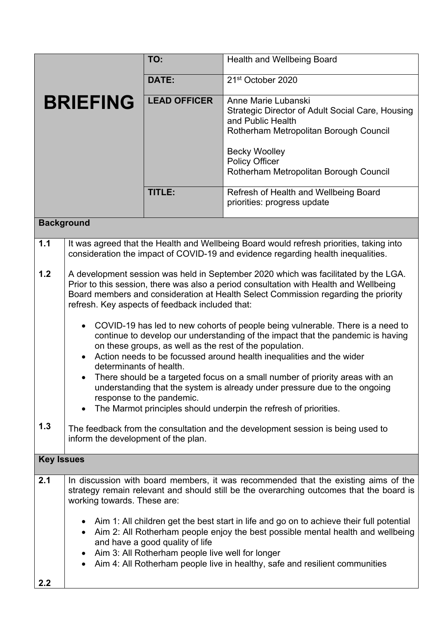|                   |                                                                                                                                                                                                                                                                                                                                                                                  | TO:                 | <b>Health and Wellbeing Board</b>                                                                                                             |  |
|-------------------|----------------------------------------------------------------------------------------------------------------------------------------------------------------------------------------------------------------------------------------------------------------------------------------------------------------------------------------------------------------------------------|---------------------|-----------------------------------------------------------------------------------------------------------------------------------------------|--|
|                   |                                                                                                                                                                                                                                                                                                                                                                                  | DATE:               | 21 <sup>st</sup> October 2020                                                                                                                 |  |
| <b>BRIEFING</b>   |                                                                                                                                                                                                                                                                                                                                                                                  | <b>LEAD OFFICER</b> | Anne Marie Lubanski<br><b>Strategic Director of Adult Social Care, Housing</b><br>and Public Health<br>Rotherham Metropolitan Borough Council |  |
|                   |                                                                                                                                                                                                                                                                                                                                                                                  |                     | <b>Becky Woolley</b><br><b>Policy Officer</b><br>Rotherham Metropolitan Borough Council                                                       |  |
|                   |                                                                                                                                                                                                                                                                                                                                                                                  | <b>TITLE:</b>       | Refresh of Health and Wellbeing Board<br>priorities: progress update                                                                          |  |
| <b>Background</b> |                                                                                                                                                                                                                                                                                                                                                                                  |                     |                                                                                                                                               |  |
| 1.1               | It was agreed that the Health and Wellbeing Board would refresh priorities, taking into<br>consideration the impact of COVID-19 and evidence regarding health inequalities.                                                                                                                                                                                                      |                     |                                                                                                                                               |  |
| $1.2$             | A development session was held in September 2020 which was facilitated by the LGA.<br>Prior to this session, there was also a period consultation with Health and Wellbeing<br>Board members and consideration at Health Select Commission regarding the priority<br>refresh. Key aspects of feedback included that:                                                             |                     |                                                                                                                                               |  |
|                   | COVID-19 has led to new cohorts of people being vulnerable. There is a need to<br>$\bullet$<br>continue to develop our understanding of the impact that the pandemic is having<br>on these groups, as well as the rest of the population.<br>Action needs to be focussed around health inequalities and the wider<br>determinants of health.                                     |                     |                                                                                                                                               |  |
|                   | There should be a targeted focus on a small number of priority areas with an<br>$\bullet$<br>understanding that the system is already under pressure due to the ongoing<br>response to the pandemic.<br>The Marmot principles should underpin the refresh of priorities.                                                                                                         |                     |                                                                                                                                               |  |
| 1.3               | The feedback from the consultation and the development session is being used to<br>inform the development of the plan.                                                                                                                                                                                                                                                           |                     |                                                                                                                                               |  |
| <b>Key Issues</b> |                                                                                                                                                                                                                                                                                                                                                                                  |                     |                                                                                                                                               |  |
| 2.1               | In discussion with board members, it was recommended that the existing aims of the<br>strategy remain relevant and should still be the overarching outcomes that the board is<br>working towards. These are:                                                                                                                                                                     |                     |                                                                                                                                               |  |
|                   | Aim 1: All children get the best start in life and go on to achieve their full potential<br>Aim 2: All Rotherham people enjoy the best possible mental health and wellbeing<br>$\bullet$<br>and have a good quality of life<br>Aim 3: All Rotherham people live well for longer<br>٠<br>Aim 4: All Rotherham people live in healthy, safe and resilient communities<br>$\bullet$ |                     |                                                                                                                                               |  |
| 2.2               |                                                                                                                                                                                                                                                                                                                                                                                  |                     |                                                                                                                                               |  |